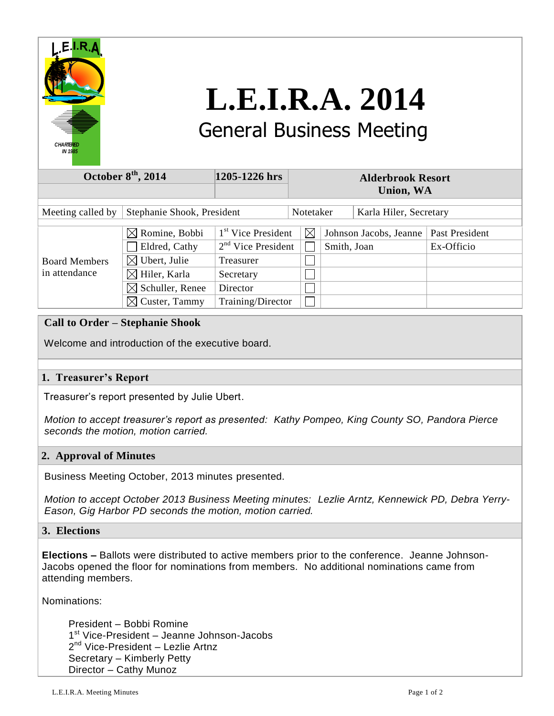

# **L.E.I.R.A. 2014** General Business Meeting

| October $8th$ , 2014                  |                             | 1205-1226 hrs                  | <b>Alderbrook Resort</b> |             |             |                        |                |
|---------------------------------------|-----------------------------|--------------------------------|--------------------------|-------------|-------------|------------------------|----------------|
|                                       |                             |                                | <b>Union, WA</b>         |             |             |                        |                |
|                                       |                             |                                |                          |             |             |                        |                |
| Meeting called by                     | Stephanie Shook, President  |                                |                          | Notetaker   |             | Karla Hiler, Secretary |                |
|                                       |                             |                                |                          |             |             |                        |                |
| <b>Board Members</b><br>in attendance | $\boxtimes$ Romine, Bobbi   | 1 <sup>st</sup> Vice President |                          | $\boxtimes$ |             | Johnson Jacobs, Jeanne | Past President |
|                                       | Eldred, Cathy               | $2nd$ Vice President           |                          |             | Smith, Joan |                        | Ex-Officio     |
|                                       | $\boxtimes$ Ubert, Julie    | Treasurer                      |                          |             |             |                        |                |
|                                       | $\boxtimes$ Hiler, Karla    | Secretary                      |                          |             |             |                        |                |
|                                       | $\boxtimes$ Schuller, Renee | Director                       |                          |             |             |                        |                |
|                                       | $\boxtimes$ Custer, Tammy   | Training/Director              |                          |             |             |                        |                |
|                                       |                             |                                |                          |             |             |                        |                |

## **Call to Order – Stephanie Shook**

Welcome and introduction of the executive board.

## **1. Treasurer's Report**

Treasurer's report presented by Julie Ubert.

 *Motion to accept treasurer's report as presented: Kathy Pompeo, King County SO, Pandora Pierce seconds the motion, motion carried.*

### **2. Approval of Minutes**

Business Meeting October, 2013 minutes presented.

 *Motion to accept October 2013 Business Meeting minutes: Lezlie Arntz, Kennewick PD, Debra Yerry- Eason, Gig Harbor PD seconds the motion, motion carried.*

#### **3. Elections**

**Elections –** Ballots were distributed to active members prior to the conference. Jeanne Johnson-Jacobs opened the floor for nominations from members. No additional nominations came from attending members.

Nominations:

 President – Bobbi Romine 1<sup>st</sup> Vice-President – Jeanne Johnson-Jacobs 2<sup>nd</sup> Vice-President – Lezlie Artnz Secretary – Kimberly Petty Director – Cathy Munoz